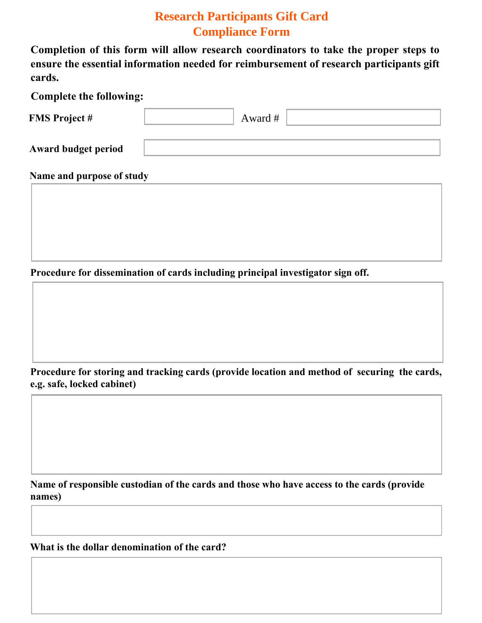## **Research Participants Gift Card Compliance Form**

**Completion of this form will allow research coordinators to take the proper steps to ensure the essential information needed for reimbursement of research participants gift cards.**

| <b>Complete the following:</b> |         |  |
|--------------------------------|---------|--|
| <b>FMS Project #</b>           | Award # |  |
| <b>Award budget period</b>     |         |  |

**Name and purpose of study**

**Procedure for dissemination of cards including principal investigator sign off.**

## **Procedure for storing and tracking cards (provide location and method of securing the cards, e.g. safe, locked cabinet)**

**Name of responsible custodian of the cards and those who have access to the cards (provide names)**

**What is the dollar denomination of the card?**